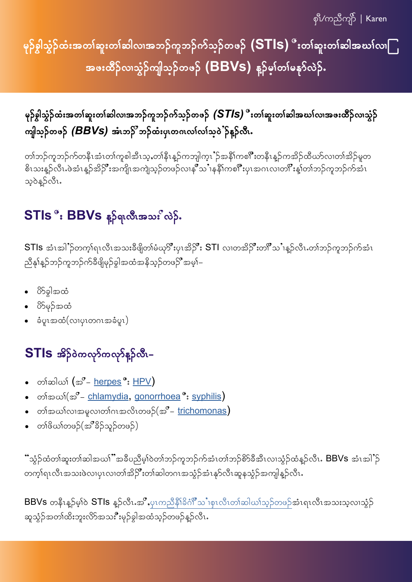$\overline{\mathfrak{p}^2}$ /ကညီကျိ $\overline{\mathfrak{f}}$   $\overline{\mathfrak{l}}$  Karen

မှဉ်စွါသွံဉ်ထံးအတၤ်ဆူးတၤ်ဆါလၢအဘဉ်ကူဘဉ်က်သ္ဉ်ာတဖဉ်  $\mathsf{(STIs)}$  ီးတၤ်ဆူးတၤ်ဆါအဃၤ်လ၊ $\Box$ အဖးထိဉ်လ၊သွံဉ်ကျါသ္ဉ်တဖဉ် (BBVS) န့ဉ်မှၤ်တၤ်မနုာ်လဲဉ်.

မှဉ်စွါသွံဉ်ထံးအတၢ်ဆူးတၢ်ဆါလ၊အဘဉ်ကူဘဉ်က်သ္ဉ်ာတဖဉ်  $\left(\textsf{STIS}\right)$  ီးတၢ်ဆူးတၢ်ဆါအဃၢ်လ၊အဖးထိဉ်လ၊သွံဉ် ကျါသ္**ဉ်တဖဉ်** *(BBVs)* **အံၤဘ**ဉ်ိဳ ဘဉ်ထံးပု၊တဂၤလၢ်လၢ်သ္ဝဲႆဉ်နူဉ်လီး.

တၢ်ဘဉ်ကူဘဉ်က်တနိၤအံၤတၢ်ကူစါအီၤသ့ႇတၢ်နိုၤန္ဉာ်ကဘျါက့ၤႛဉ်အနိံၢိကစၢိဳးတနိုၤန္ဉာ်ကအိဉ်ထိဃာ်လၢတၢ်အိဉ်မူတ -<br>စိၤသးန္ဉ်ာလီၤႉဖဲအံၤန္ဉ်ာအိဉ်ိဳးအကျိုးအကျဲသ့ဉ်တဖဉ်လၢနုိသ1နနိ1ကစ<sup>ကို</sup>းပုၤအဂၤလၢတ၊ိဳးန္1်တၢ်ဘဉ်ကူဘဉ်က်အံၤ သဲ့၀ဲန့ဉ်လီး.

### STIs ိ : BBVs နၵ်ရလီးအသး လဲဉ်.

STIs အံၤအါႛဉ်တက့ၢ်ရၤလီၤအသးခဵဖျိတၢဴမံဃု႒ိဳးပုၤအိဉ်ိဳး STI လၢတအိဉ်ိဳးတ႞ိဳသႛၢန္ဉ်လီၤႉတၢ်ဘဉ်ကူဘဉ်က်အံၤ ညီနှၤ်န္ဥာ်ဘဉ်ကူဘဉ်က်ခီဖျိမှဉ်ခွါအထံအနိုသ့ဉ်တဖဉ်ဳိအမှါ–

- 0်််််််် အထု  $\bullet$
- ပိ>်မှဉ်အထံ
- ခံပူၤအထံ(လၢပုၤတဂၤအခံပူၤ)

### STIs အိ}်ဝဲကလုာ်ကလုာ်နူဉ်လီး–

- တၢ်ဆါယၢ် (အ**ိ** <u>herpes</u> °: <u>HPV</u>)  $\bullet$
- တၢ်အယၢ်(အ $^{\sigma}$  <u>chlamydia, gonorrhoea</u> °: <u>syphilis</u>)
- တၢ်အယၢ်လၢအမူလၢတၢ်ဂၤအလိၤတဖဉ်(အ $^{\sigma}$  <u>trichomonas</u>)
- တၢိဖိယၢ်တဖဉ်(အိိနိဉ်သူဉ်တဖဉ်)

ၱာ္သံဉ်ထံတၢ်ဆူးတၢ်ဆါအယၢိဳအခ်ိပညိမ့ၢ်ဝဲတၢ်ဘဉ်ကူဘဉ်က်အံၤတၢ်ဘဉ်စိ>်ခီအီၤလၢသွံဉ်ထံန္ဉ်လီၤ**. BBVs** အံၤအါႛဉ် တက့ၢ်ရၤလီၤအသးဖဲလၢပုၤလၢတၢ်အိဉ်ိဳးတၢ်ဆါတဂၤအသွံဉ်အံၤနုာ်လီၤဆူနသွံဉ်အကျါန္ဉ်ာလီၤႉ

BBVs တနီၤန္ဉာ်မ့္ပ်ာ STIs န္ဥာ်လီၤ.အိဳႇပုၤကညီနို၊်ခိဂံုိသႛ၊စုၤလီၤတၢ်ဆါဃၢ်သ္ဉ်တဖဉ်အံၤရၤလီၤအသးသ့လၢသွံ့ဉ် ဆူသွံဉ်အတၢ်ထိးဘူးလိ>်အသးီိးမှဉ်ခွါအထံသုဉ်တဖဉ်နူဉ်လီၤ**.**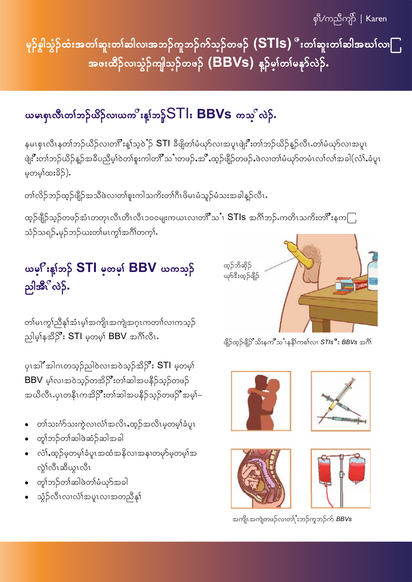မှဉ်စွါသွံဉ်ထံးအတၤ်ဆူးတၤ်ဆါလၢအဘဉ်ကူဘဉ်က်သ္ဝ်ာတဖဉ်  $\mathsf{(STIs)}$  ီးတၤ်ဆူးတၤ်ဆါအဃၤ်လ၊ $\mathsf{\Gamma}_{\mathsf{I}}$ အဖးထိဉ်လ၊သွံဉ်ကျါသ္**ဉ်တဖ**ဉ် (BBVS) န**ှာ်**ဖ္**ဂ်တၤ်မနှ**ာ်လဲဉ်.

### ယမၤစုၤလီၤတၢ်ဘဉ်ယိဉ်လ၊ယက္ခ္မွဴးန္းဘဉ္ဂ် $ST$ ါး BBVS ကသ္ခ္ပ္တီလဲဉ်.

နမၤစုၤလီၤနတၢ်ဘဉ်ယိဉ်လၢတ<sup>6</sup>ီးန့ၤ်သ့ဝဲႛဉ် STl ခီဖျိတၢ်မံဃုာ်လၢအပူၤဖျဲးိိဳးတၢ်ဘဉ်ယိဉ်န္ဉ်လီၤႉတၢ်မံဃုာ်လၢအပူၤ ဖျဲးိဳးတၢ်ဘဉ်ယိဉ်န္ဉာ်အခ်ီပညီမ့ၢ်ဝဲတၢ်စူးကါတ<sup>18</sup>သႛၢတဖဉ်ႇအႛိႇထ့ဉ်ဖျီဉ်တဖဉ်ႇဖဲလၢတၢ်မံၰာ်တမံၤလၢ်လၢ်အခါ $($ လံၢ်ႇခံပူၤ မ့တမ့<sup>န</sup>ထးခိဉ်).

တၢ်လိဉ်ဘဉ်ထ့ဉ်ဖျိဉ်အသိဖဲလၢတၢ်စူးကါသကိးတၢ်ဂီၤဖိမၤမံသူဉ်မံသးအခါနူဉ်လီၤႉ

ထ့ဉ်ဖျိဉ်သ့ဉ်တဖဉ်အံၤတတုၤလီၤတီၤ၁၀၀မျးကယၤလၢတၢိဳသႛ၊  $\mathsf{STIs}\,$  အင်္ဂါဘဉ်ႉကတိၤသကိးတၢိဳးနက $\bigcap$ သံဉ်သရဉ်,မှဉ်ဘဉ်ယးတ၊်မၤကွၢ်အင်္ဂါတက္i်.

### ယမ္ဂ<sup>ိ</sup>းန္၊်ဘ**္ဂ် STI** မဲ့တမ္၊် BBV ယကသ္**ဂ်** ည္ပါအိ<sup>ု</sup>လဲ့

တၢ်မၤကွၢ်ညီနှၢ်အံၤမ့ၢ်အကျိုးအကျဲအဂ္ဂၤကတၢၢ်လၢကသုဉ် ညါမှန်အိ<sup>S</sup>ိး STI မှတမှါ BBV အင်္ဂါလီၤ.

ပုၤအါ်ိဳအါဂၤတသုဉ်ညါဝဲလၢအဝဲသုဉ်အိဉ်ိဳး STI မှတမ့<mark>်</mark>၊ BBV မ့<sup>ှ</sup>လ၊အဝဲသုဉ်တအိဉ်ိဳးတၢ်ဆါအပနိဉ်သုဉ်တဖဉ် အယိလီၤ.ပုၤတနီၤကအိဉ်ိဳးတၢ်ဆါအပနိဉ်သ့ဉ်တဖဉ်ိဳအမ့ၢ်–

- တၢ်သးဂံာ်သးကွဲလၢလံၢ်အလိၤႇထ့ဉ်အလိၤမ့တမ့ၢ်ခံပူၤ  $\bullet$
- တှုက်ဉ်တၢ်ဆါဖဲဆံဉ်ဆါအခါ
- လံၢ်ႇထ့ဉ်မှတမ့ၢ်ခံပူၤအထံအနိလၢအနၢတမှာ်မှတမ့ၢ်အ လ်ုလီးဆီယွၤလီး
- တုၢ်ဘဉ်တၢ်ဆါဖဲတၢ်မံဃှာ်အခါ
- သံ့ဉ်လီၤလၢလံၢ်အပူၤလၢအတညီနု၊်



ဖျိဉ်ထ့ဉ်ဖျိဉ် သိးနက**ိ**သ1နနိ1်ကစၤ်လ၊ STIs ိိး BBVs အင်္ဂါ









အကျိၤအကျဲတဖဉ်လၢတၤိုးဘဉ်ကူဘဉ်က် BBVs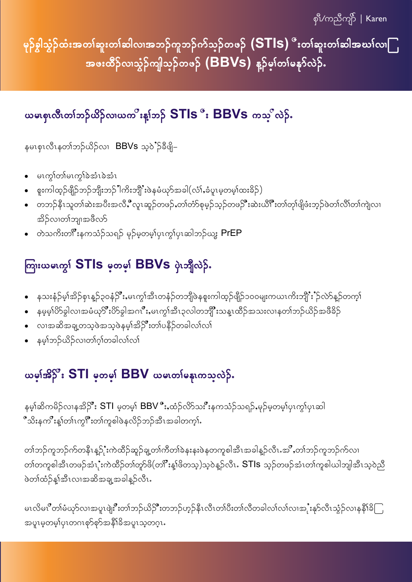စုံိ/ကညီကုဉ် | Karen

မှဉ်စွါသွံဉ်ထံးအတၤ်ဆူးတၤ်ဆါလၢအဘဉ်ကူဘဉ်က်သ္ဝ်ာတဖဉ်  $\mathsf{(STIs)}$ ီးတၤ်ဆူးတၤ်ဆါအဃၤ်လ၊ြ အဖးထိဉ်လ၊သွံဉ်ကျါသ္ဉ်တဖဉ် (BBVS) နှဉ်မှၤ်တၤ်မနုာ်လဲဉ်.

#### ယမၢဈလီ(တ)်ဘဉ်ယိဉ်လ၊ယက<sup>ိ</sup>းန1်ဘဉ် STIs ိး BBVs ကသ္ လဲဉ်.

နမၤစုၤလီၤနတၢ်ဘဉ်ယိဉ်လၢ BBVs သ့၀ဲႆဉ်ခ်ီဖျိ–

- မၤကွါတါမၤကွါခဲအံၤခဲအံၤ  $\bullet$
- စူးကါထ့ဉ်ဖျိဉ်ဘဉ်ဘျီးဘဉ်ါကိးဘျီ`းဖဲနမံယုဉ်အခါ(လံ)်ႇခံပူၤမ့တမ့)်ထးခိဉ်)
- တဘဉ်နိၤသူတၢ်ဆဲးအပီးအလိႇိဳလူၤဆူဉ်တဖဉ်ႇတၢ်တံာ်စုမှဉ်သ့ဉ်တဖဉ်ိဳးဆဲးယိ<sup>ုနီ</sup>းတၢ်တု၊်ဖျိဖံးဘ့ဉ်ဖဲတၢ်လိၢ်တ၊်ကျဲလ၊ အိဉ်လ၊တၢ်ဘျ၊အဖီလာ်
- တဲသကိႏတ<sup>6</sup>ိးနကသံဉ်သရဉ် မုဉ်မ့တမ့)်ပှၤကွ\ပှၤဆါဘဉ်ယွး  $\mathsf{PrEP}$

## ကြားယမၤက္ဂ<sup>ု</sup> STIs မှတမ္<sup>ု</sup> BBVs ပှဲၤဘျီလဲဉ်ႉ

- နသးနံဉ်မ့ၢ်အိဉ်စှၤန္ဉာ်၃၀နံဉ်ိဳးႇမၤကွၢ်အီၤတနံဉ်တဘျိဖဲနစူးကါထ့ဉ်ဖျိဉ်၁၀၀မျးကယၤကိးဘျိဲး'ဉ်လဲာ်နှဉ်တက့၊်  $\bullet$
- နမ့မ့္ပ်ံ $\delta$ ခွါလၢအမံဃုာိဳးပိာခွါအဂၤိဳး,မၤကွၢ်အီၤ၃လါတဘျိဳးသန္ၤထိဉ်အသးလၢနတၢ်ဘဉ်ယိဉ်အဖီခိဉ်  $\bullet$
- လၢအဆိအချ့တသ့ဖဲအသ့ဖဲနမ့ၢ်အိ**္ဂ်ိဳး**တ၊်ပနိဉ်တခါလ၊်လ၊်
- နမ့္ပ်သဉ်ယိဉ်လ၊တၢ်ဂ္၊်တခါလ၊်လ၊်

#### ယမ္နက္အြန္း STI မွတ္မရွဴး BBV ယမ္နက္မွတ္မွတ္ၿပိန္

နမ့္ခ်ဆိကမိဉ်လၢနအိ**္ငိ**း STI မ့တမ့္ BBV 'ိႏႇထံဉ်လိာသး'ိဳးနကသံဉ်သရဉ်ႇမုဉ်မ့တမ့္ပ်ပုၤက္င္ပ်ပုၤဆါ ီသိးနက**ိ**းန့ၢ်တၢ်ၤကွါ်ိဳးတၢ်ကူစါဖဲနလိဉ်ဘဉ်အီၤအခါတက့ၢ်ိ

တၢ်ဘဉ်ကူဘဉ်က်တနီၤန္ဉဉ်းံကဲထိဉ်ဆူဉ်ချ့တၢ်ကိတၢ်ခဲနးနးဖဲနတကူစါအီၤအခါန့ဉ်လီၤ.အိဳႇတၢ်ဘဉ်ကူဘဉ်က်လၢ တၢ်တကူစါအီၤတဖဉ်အံၤုံးကဲထိဉ်တၢ်တူာ်ဖိ(တ<sup>6</sup>ိးန့ၢ်ဖိတသ့)သ့ဝဲန့ဉ်လီၤ**. STIs** သ့ဉ်တဖဉ်အံၤတၢ်ကူစါယါဘျါအီၤသ့ဝဲညီ ဖဲတၢ်ထံဉ်န့ၢ်အီၤလၢအဆိအချ့အခါန့ဉ်လီၤ.

မၤလိမၤ**ိ**တၢ်မံယုာ်လၢအပူၤဖျဲးိဳးတၢ်ဘဉ်ယိဉ်ိဳးတဘဉ်ဟ့ဉ်နီၤလီၤတၢ်ပီးတၢ်လိတခါလၢ်လၢအုႆုးနုာ်လီၤသွံဉ်လၢနနိ<sup>ု</sup>နိြ အပူၤမ့တမ့)်ပုၤတဂၤစုာ်စုာ်အနီၤ်ခ်ိအပူၤသ့တဂူၤ.